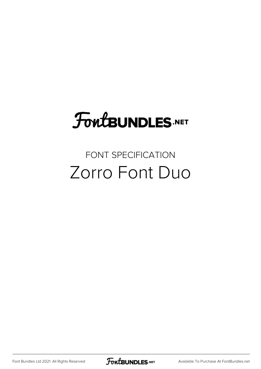#### **FoutBUNDLES.NET**

#### FONT SPECIFICATION Zorro Font Duo

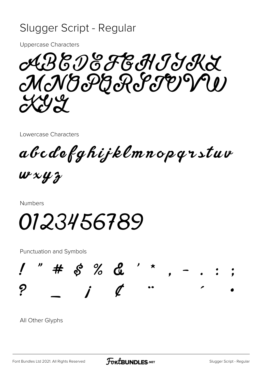#### Slugger Script - Regular

**Uppercase Characters** 

ABEDEFEHJJA MNOPORTEPPU  $\mathcal{Y} \mathcal{Y}$ 

Lowercase Characters

abcdefghijklmnopqrstuv

 $w$  x y z

**Numbers** 



**Punctuation and Symbols** 



All Other Glyphs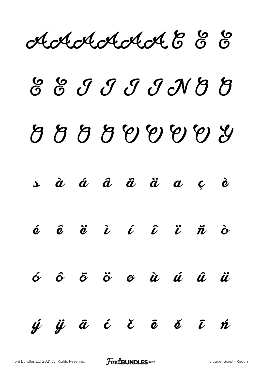Adatatat E 8

### Ê Ë Ì Í Î Ï Ñ Ò Ó Ô Õ Ö Ø Ù Ú Û Ü Ý

ß à á â ã ä å ç è

 $\acute{\textbf{e}}$   $\acute{\textbf{e}}$   $\ddot{\textbf{e}}$   $\grave{\textbf{e}}$   $\acute{\textbf{e}}$   $\acute{\textbf{e}}$   $\acute{\textbf{e}}$   $\acute{\textbf{e}}$   $\ddot{\textbf{e}}$   $\ddot{\textbf{e}}$   $\ddot{\textbf{v}}$   $\ddot{\textbf{v}}$   $\ddot{\textbf{v}}$   $\grave{\textbf{e}}$ 

ó ô õ ö ø ù ú û ü  $\acute{\mu}$   $\ddot{\mu}$   $\ddot{a}$   $\acute{c}$   $\ddot{c}$   $\ddot{a}$   $\ddot{c}$   $\ddot{a}$   $\ddot{c}$   $\ddot{a}$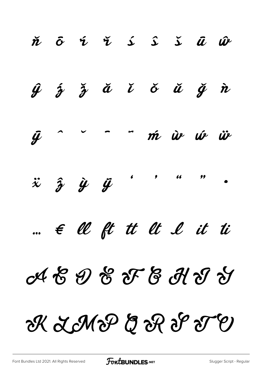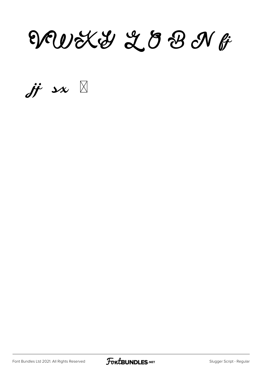### DRUXY LOBN&

 $j\ddot{r}$  in  $\mathbb X$ 

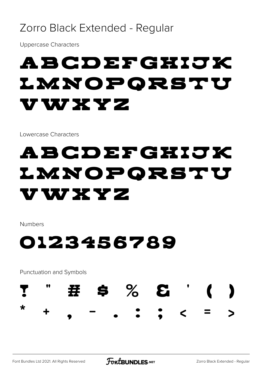#### Zorro Black Extended - Regular

**Uppercase Characters** 

#### ABCDEFGHIJK LMNOPORSTU V W X Y Z

Lowercase Characters

#### ABCDEFGHIJK LMNOPORSTU V W X Y Z

Numbers

#### 0123456789

Punctuation and Symbols \$ % & 珜 ∗  $\langle$  = ╋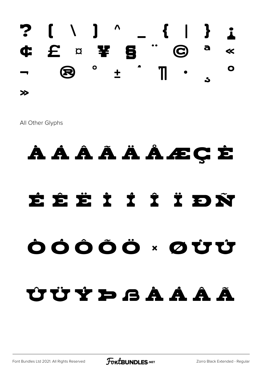

All Other Glyphs

### À Á Â Ã Ä ÅÆÇ È É Ê Ë Ì Í Î Ï Ð Ñ Ò Ó Ô Ô Ö × Ø Ů Ů ÛÜ Ý Þ ß à á â ã

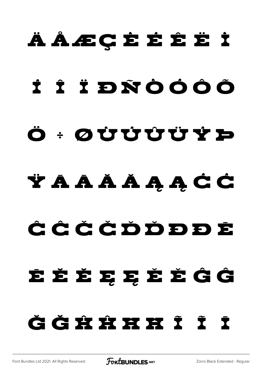# ÄÅÆÇĖĖĖË! ÍÎ Î BÑÓÓÔ  $\ddot{\mathbf{O}}$  +  $\mathbf{O}$  Û Û Û Û Û  $\dot{\mathbf{V}}$  D ŸĀĀÃÃĄĄĊĆ ĈĈČČĎĎĐĐĒ ÈĔĔĘĘĔĚĜĜ ĞĞÛXÂXXXÎ Î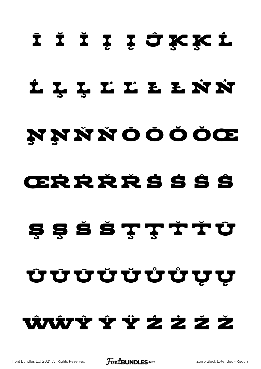## I I I Į Į ĴĶĶL ĹĻĻĽĽŁŁŃŃ NNŇŇÔÔŎŒ CRRRŘSSŠ ŞŞŠŠŢŢŤŤŨ ŨŨŨŬŬŮŮV WWYYYY Y Y Z Ż Ż Ż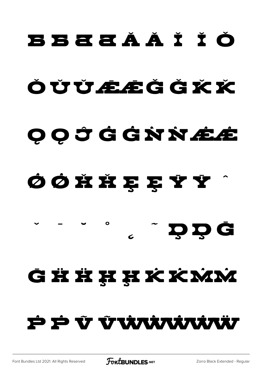### B B & A Å Å Ï Ŏ ŎŬŬÆÆĞĞX **OOĴĜĜŇŇÆÆ** Ǿ ǿ Ȟ ȟ Ȩ ȩ Ȳ ȳ ˆ ˇ ˉ ˘ ˚ ˛  $\tilde{\phantom{a}}$   $\tilde{\phantom{a}}$   $\tilde{\phantom{a}}$   $\tilde{\phantom{a}}$   $\tilde{\phantom{a}}$   $\tilde{\phantom{a}}$   $\tilde{\phantom{a}}$   $\tilde{\phantom{a}}$   $\tilde{\phantom{a}}$ **G H H H H K K KAM** Ṕ ṕ Ṽ ṽẀẁẂẃẄ